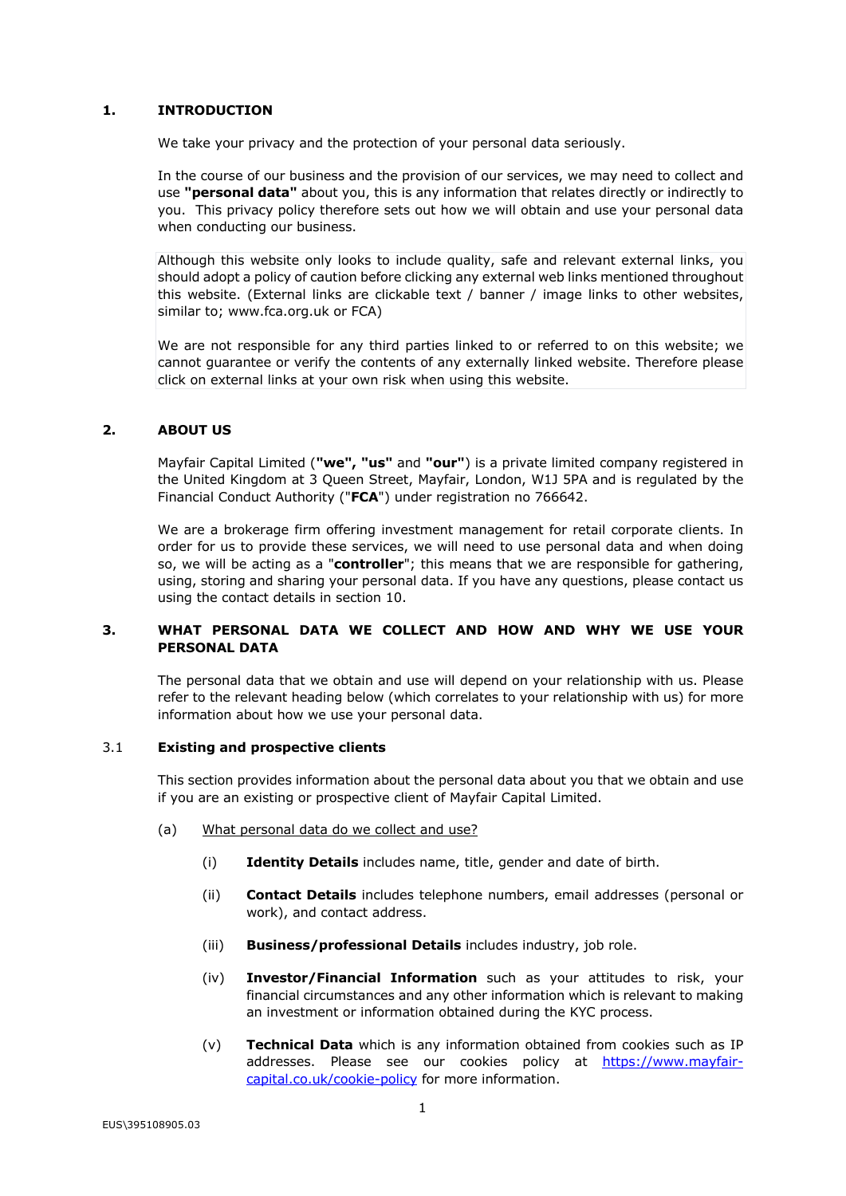## **1. INTRODUCTION**

We take your privacy and the protection of your personal data seriously.

In the course of our business and the provision of our services, we may need to collect and use **"personal data"** about you, this is any information that relates directly or indirectly to you. This privacy policy therefore sets out how we will obtain and use your personal data when conducting our business.

Although this website only looks to include quality, safe and relevant external links, you should adopt a policy of caution before clicking any external web links mentioned throughout this website. (External links are clickable text / banner / image links to other websites, similar to; www.fca.org.uk or FCA)

We are not responsible for any third parties linked to or referred to on this website; we cannot guarantee or verify the contents of any externally linked website. Therefore please click on external links at your own risk when using this website.

### **2. ABOUT US**

Mayfair Capital Limited (**"we", "us"** and **"our"**) is a private limited company registered in the United Kingdom at 3 Queen Street, Mayfair, London, W1J 5PA and is regulated by the Financial Conduct Authority ("**FCA**") under registration no 766642.

We are a brokerage firm offering investment management for retail corporate clients. In order for us to provide these services, we will need to use personal data and when doing so, we will be acting as a "**controller**"; this means that we are responsible for gathering, using, storing and sharing your personal data. If you have any questions, please contact us using the contact details in section 10.

## **3. WHAT PERSONAL DATA WE COLLECT AND HOW AND WHY WE USE YOUR PERSONAL DATA**

The personal data that we obtain and use will depend on your relationship with us. Please refer to the relevant heading below (which correlates to your relationship with us) for more information about how we use your personal data.

### 3.1 **Existing and prospective clients**

This section provides information about the personal data about you that we obtain and use if you are an existing or prospective client of Mayfair Capital Limited.

- (a) What personal data do we collect and use?
	- (i) **Identity Details** includes name, title, gender and date of birth.
	- (ii) **Contact Details** includes telephone numbers, email addresses (personal or work), and contact address.
	- (iii) **Business/professional Details** includes industry, job role.
	- (iv) **Investor/Financial Information** such as your attitudes to risk, your financial circumstances and any other information which is relevant to making an investment or information obtained during the KYC process.
	- (v) **Technical Data** which is any information obtained from cookies such as IP addresses. Please see our cookies policy at https://www.mayfaircapital.co.uk/cookie-policy for more information.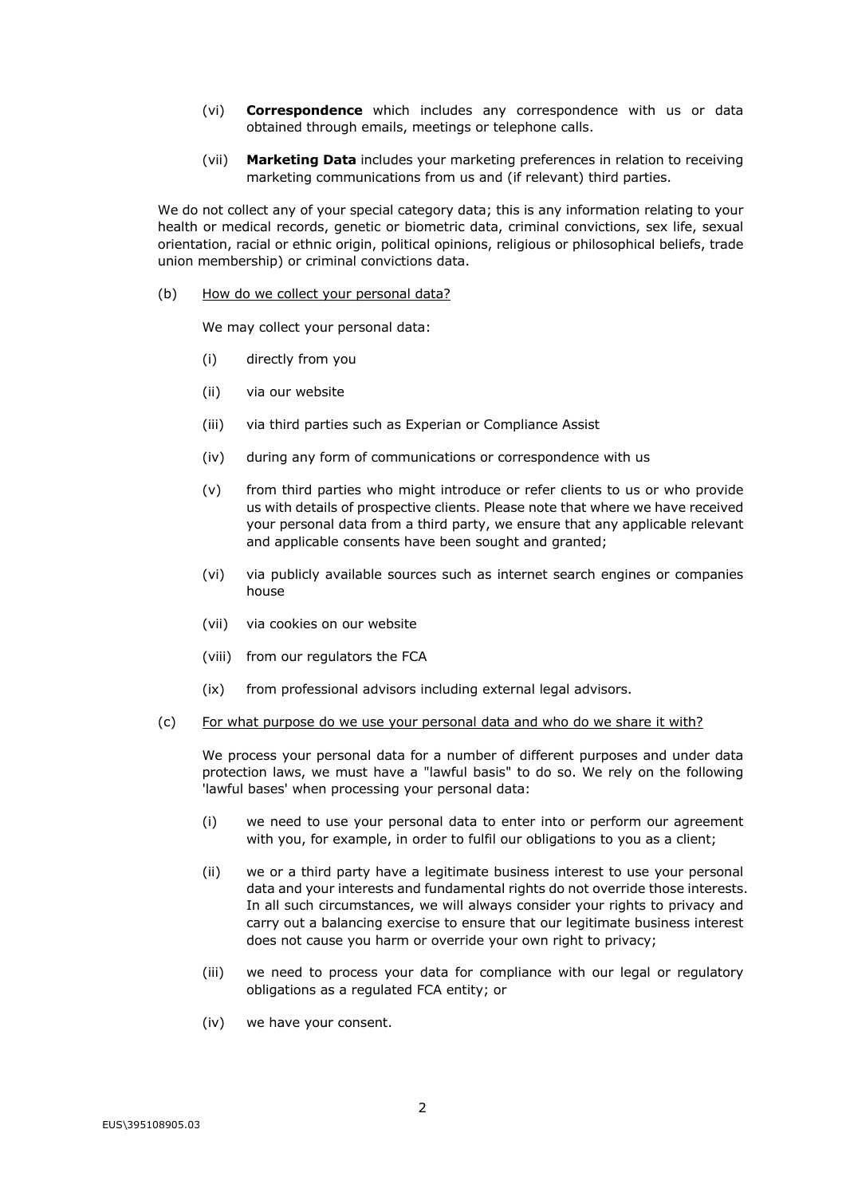- (vi) **Correspondence** which includes any correspondence with us or data obtained through emails, meetings or telephone calls.
- (vii) **Marketing Data** includes your marketing preferences in relation to receiving marketing communications from us and (if relevant) third parties.

We do not collect any of your special category data; this is any information relating to your health or medical records, genetic or biometric data, criminal convictions, sex life, sexual orientation, racial or ethnic origin, political opinions, religious or philosophical beliefs, trade union membership) or criminal convictions data.

(b) How do we collect your personal data?

We may collect your personal data:

- (i) directly from you
- (ii) via our website
- (iii) via third parties such as Experian or Compliance Assist
- (iv) during any form of communications or correspondence with us
- (v) from third parties who might introduce or refer clients to us or who provide us with details of prospective clients. Please note that where we have received your personal data from a third party, we ensure that any applicable relevant and applicable consents have been sought and granted;
- (vi) via publicly available sources such as internet search engines or companies house
- (vii) via cookies on our website
- (viii) from our regulators the FCA
- (ix) from professional advisors including external legal advisors.
- (c) For what purpose do we use your personal data and who do we share it with?

We process your personal data for a number of different purposes and under data protection laws, we must have a "lawful basis" to do so. We rely on the following 'lawful bases' when processing your personal data:

- (i) we need to use your personal data to enter into or perform our agreement with you, for example, in order to fulfil our obligations to you as a client;
- (ii) we or a third party have a legitimate business interest to use your personal data and your interests and fundamental rights do not override those interests. In all such circumstances, we will always consider your rights to privacy and carry out a balancing exercise to ensure that our legitimate business interest does not cause you harm or override your own right to privacy;
- (iii) we need to process your data for compliance with our legal or regulatory obligations as a regulated FCA entity; or
- (iv) we have your consent.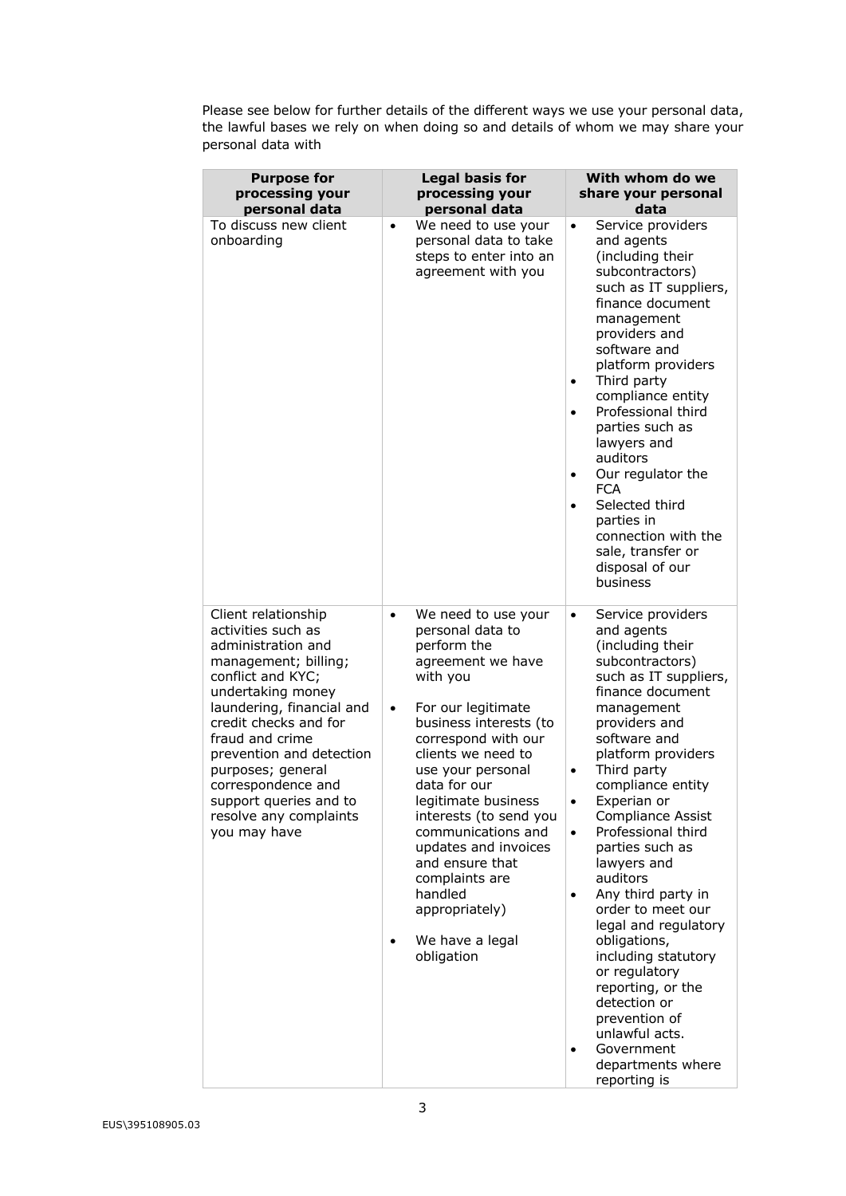Please see below for further details of the different ways we use your personal data, the lawful bases we rely on when doing so and details of whom we may share your personal data with

| <b>Purpose for</b><br>processing your<br>personal data                                                                                                                                                                                                                                                                                                | <b>Legal basis for</b><br>processing your<br>personal data                                                                                                                                                                                                                                                                                                                                                                                            | With whom do we<br>share your personal<br>data                                                                                                                                                                                                                                                                                                                                                                                                                                                                                                                                                                                                                           |
|-------------------------------------------------------------------------------------------------------------------------------------------------------------------------------------------------------------------------------------------------------------------------------------------------------------------------------------------------------|-------------------------------------------------------------------------------------------------------------------------------------------------------------------------------------------------------------------------------------------------------------------------------------------------------------------------------------------------------------------------------------------------------------------------------------------------------|--------------------------------------------------------------------------------------------------------------------------------------------------------------------------------------------------------------------------------------------------------------------------------------------------------------------------------------------------------------------------------------------------------------------------------------------------------------------------------------------------------------------------------------------------------------------------------------------------------------------------------------------------------------------------|
| To discuss new client<br>onboarding                                                                                                                                                                                                                                                                                                                   | We need to use your<br>$\bullet$<br>personal data to take<br>steps to enter into an<br>agreement with you                                                                                                                                                                                                                                                                                                                                             | Service providers<br>$\bullet$<br>and agents<br>(including their<br>subcontractors)<br>such as IT suppliers,<br>finance document<br>management<br>providers and<br>software and<br>platform providers<br>Third party<br>$\bullet$<br>compliance entity<br>Professional third<br>$\bullet$<br>parties such as<br>lawyers and<br>auditors<br>Our regulator the<br>٠<br><b>FCA</b><br>Selected third<br>$\bullet$<br>parties in<br>connection with the<br>sale, transfer or<br>disposal of our<br>business                                                                                                                                                                  |
| Client relationship<br>activities such as<br>administration and<br>management; billing;<br>conflict and KYC;<br>undertaking money<br>laundering, financial and<br>credit checks and for<br>fraud and crime<br>prevention and detection<br>purposes; general<br>correspondence and<br>support queries and to<br>resolve any complaints<br>you may have | We need to use your<br>$\bullet$<br>personal data to<br>perform the<br>agreement we have<br>with you<br>For our legitimate<br>$\bullet$<br>business interests (to<br>correspond with our<br>clients we need to<br>use your personal<br>data for our<br>legitimate business<br>interests (to send you<br>communications and<br>updates and invoices<br>and ensure that<br>complaints are<br>handled<br>appropriately)<br>We have a legal<br>obligation | Service providers<br>$\bullet$<br>and agents<br>(including their<br>subcontractors)<br>such as IT suppliers,<br>finance document<br>management<br>providers and<br>software and<br>platform providers<br>Third party<br>$\bullet$<br>compliance entity<br>Experian or<br>$\bullet$<br>Compliance Assist<br>Professional third<br>$\bullet$<br>parties such as<br>lawyers and<br>auditors<br>Any third party in<br>$\bullet$<br>order to meet our<br>legal and regulatory<br>obligations,<br>including statutory<br>or regulatory<br>reporting, or the<br>detection or<br>prevention of<br>unlawful acts.<br>Government<br>$\bullet$<br>departments where<br>reporting is |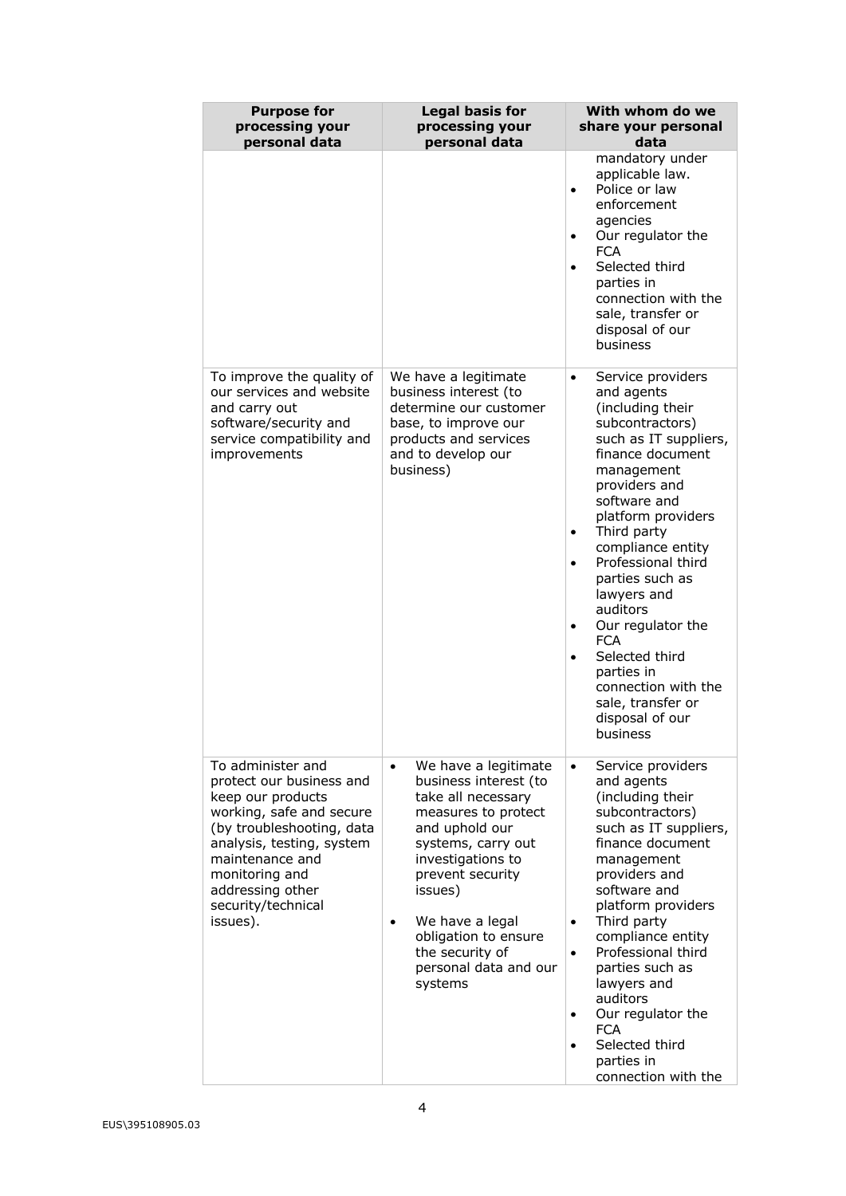| <b>Purpose for</b><br>processing your<br>personal data                                                                                                                                                                                              | <b>Legal basis for</b><br>processing your<br>personal data                                                                                                                                                                                                                                            | With whom do we<br>share your personal<br>data                                                                                                                                                                                                                                                                                                                                                                                                                                                                  |
|-----------------------------------------------------------------------------------------------------------------------------------------------------------------------------------------------------------------------------------------------------|-------------------------------------------------------------------------------------------------------------------------------------------------------------------------------------------------------------------------------------------------------------------------------------------------------|-----------------------------------------------------------------------------------------------------------------------------------------------------------------------------------------------------------------------------------------------------------------------------------------------------------------------------------------------------------------------------------------------------------------------------------------------------------------------------------------------------------------|
|                                                                                                                                                                                                                                                     |                                                                                                                                                                                                                                                                                                       | mandatory under<br>applicable law.<br>Police or law<br>$\bullet$<br>enforcement<br>agencies<br>Our regulator the<br>$\bullet$<br><b>FCA</b><br>Selected third<br>$\bullet$<br>parties in<br>connection with the<br>sale, transfer or<br>disposal of our<br>business                                                                                                                                                                                                                                             |
| To improve the quality of<br>our services and website<br>and carry out<br>software/security and<br>service compatibility and<br>improvements                                                                                                        | We have a legitimate<br>business interest (to<br>determine our customer<br>base, to improve our<br>products and services<br>and to develop our<br>business)                                                                                                                                           | Service providers<br>$\bullet$<br>and agents<br>(including their<br>subcontractors)<br>such as IT suppliers,<br>finance document<br>management<br>providers and<br>software and<br>platform providers<br>Third party<br>$\bullet$<br>compliance entity<br>Professional third<br>$\bullet$<br>parties such as<br>lawyers and<br>auditors<br>Our regulator the<br>$\bullet$<br><b>FCA</b><br>Selected third<br>$\bullet$<br>parties in<br>connection with the<br>sale, transfer or<br>disposal of our<br>business |
| To administer and<br>protect our business and<br>keep our products<br>working, safe and secure<br>(by troubleshooting, data<br>analysis, testing, system<br>maintenance and<br>monitoring and<br>addressing other<br>security/technical<br>issues). | We have a legitimate<br>$\bullet$<br>business interest (to<br>take all necessary<br>measures to protect<br>and uphold our<br>systems, carry out<br>investigations to<br>prevent security<br>issues)<br>We have a legal<br>obligation to ensure<br>the security of<br>personal data and our<br>systems | Service providers<br>$\bullet$<br>and agents<br>(including their<br>subcontractors)<br>such as IT suppliers,<br>finance document<br>management<br>providers and<br>software and<br>platform providers<br>Third party<br>$\bullet$<br>compliance entity<br>Professional third<br>$\bullet$<br>parties such as<br>lawyers and<br>auditors<br>Our regulator the<br>$\bullet$<br><b>FCA</b><br>Selected third<br>$\bullet$<br>parties in<br>connection with the                                                     |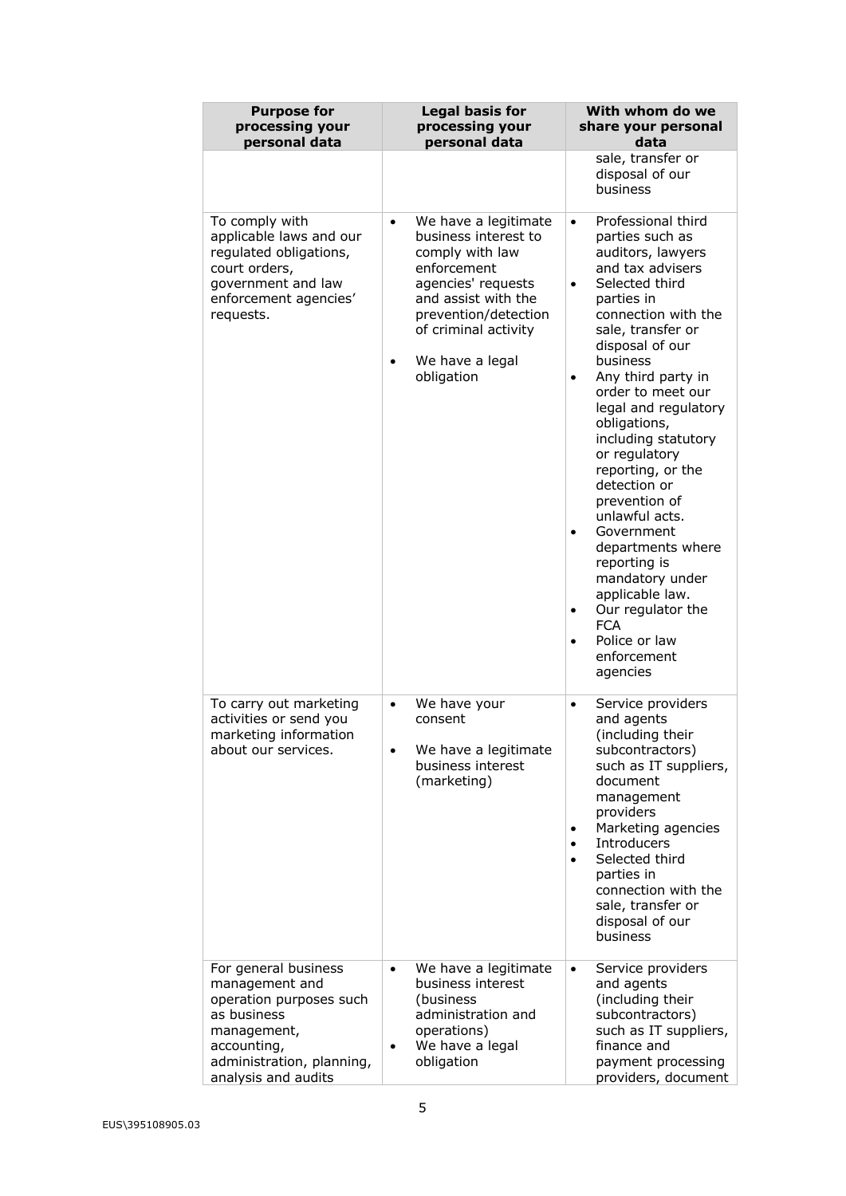| <b>Purpose for</b><br>processing your<br>personal data                                                                                                             | <b>Legal basis for</b><br>processing your<br>personal data                                                                                                                                                                | With whom do we<br>share your personal<br>data                                                                                                                                                                                                                                                                                                                                                                                                                                                                                                                                                                                                     |
|--------------------------------------------------------------------------------------------------------------------------------------------------------------------|---------------------------------------------------------------------------------------------------------------------------------------------------------------------------------------------------------------------------|----------------------------------------------------------------------------------------------------------------------------------------------------------------------------------------------------------------------------------------------------------------------------------------------------------------------------------------------------------------------------------------------------------------------------------------------------------------------------------------------------------------------------------------------------------------------------------------------------------------------------------------------------|
|                                                                                                                                                                    |                                                                                                                                                                                                                           | sale, transfer or<br>disposal of our<br>business                                                                                                                                                                                                                                                                                                                                                                                                                                                                                                                                                                                                   |
| To comply with<br>applicable laws and our<br>regulated obligations,<br>court orders,<br>government and law<br>enforcement agencies'<br>requests.                   | We have a legitimate<br>$\bullet$<br>business interest to<br>comply with law<br>enforcement<br>agencies' requests<br>and assist with the<br>prevention/detection<br>of criminal activity<br>We have a legal<br>obligation | Professional third<br>$\bullet$<br>parties such as<br>auditors, lawyers<br>and tax advisers<br>Selected third<br>$\bullet$<br>parties in<br>connection with the<br>sale, transfer or<br>disposal of our<br>business<br>Any third party in<br>$\bullet$<br>order to meet our<br>legal and regulatory<br>obligations,<br>including statutory<br>or regulatory<br>reporting, or the<br>detection or<br>prevention of<br>unlawful acts.<br>Government<br>$\bullet$<br>departments where<br>reporting is<br>mandatory under<br>applicable law.<br>Our regulator the<br>$\bullet$<br><b>FCA</b><br>Police or law<br>$\bullet$<br>enforcement<br>agencies |
| To carry out marketing<br>activities or send you<br>marketing information<br>about our services.                                                                   | We have your<br>$\bullet$<br>consent<br>We have a legitimate<br>business interest<br>(marketing)                                                                                                                          | Service providers<br>$\bullet$<br>and agents<br>(including their<br>subcontractors)<br>such as IT suppliers,<br>document<br>management<br>providers<br>Marketing agencies<br>$\bullet$<br>Introducers<br>$\bullet$<br>Selected third<br>$\bullet$<br>parties in<br>connection with the<br>sale, transfer or<br>disposal of our<br>business                                                                                                                                                                                                                                                                                                         |
| For general business<br>management and<br>operation purposes such<br>as business<br>management,<br>accounting,<br>administration, planning,<br>analysis and audits | We have a legitimate<br>$\bullet$<br>business interest<br>(business<br>administration and<br>operations)<br>We have a legal<br>٠<br>obligation                                                                            | Service providers<br>$\bullet$<br>and agents<br>(including their<br>subcontractors)<br>such as IT suppliers,<br>finance and<br>payment processing<br>providers, document                                                                                                                                                                                                                                                                                                                                                                                                                                                                           |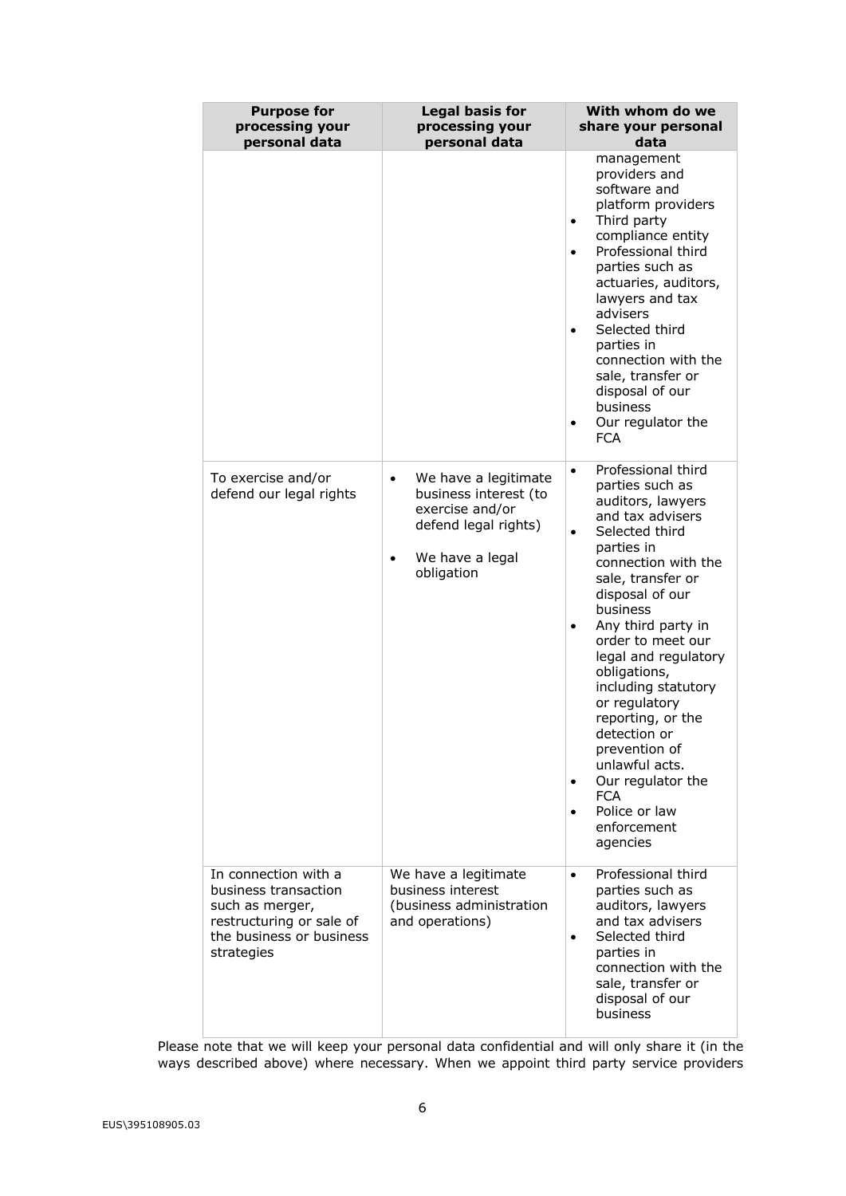| <b>Purpose for</b><br>processing your<br>personal data                                                                                | <b>Legal basis for</b><br>processing your<br>personal data                                                                             | With whom do we<br>share your personal<br>data                                                                                                                                                                                                                                                                                                                                                                                                                                                                          |
|---------------------------------------------------------------------------------------------------------------------------------------|----------------------------------------------------------------------------------------------------------------------------------------|-------------------------------------------------------------------------------------------------------------------------------------------------------------------------------------------------------------------------------------------------------------------------------------------------------------------------------------------------------------------------------------------------------------------------------------------------------------------------------------------------------------------------|
|                                                                                                                                       |                                                                                                                                        | management<br>providers and<br>software and<br>platform providers<br>Third party<br>٠<br>compliance entity<br>Professional third<br>$\bullet$<br>parties such as<br>actuaries, auditors,<br>lawyers and tax<br>advisers<br>Selected third<br>$\bullet$<br>parties in<br>connection with the<br>sale, transfer or<br>disposal of our<br>business<br>Our regulator the<br>٠<br><b>FCA</b>                                                                                                                                 |
| To exercise and/or<br>defend our legal rights                                                                                         | We have a legitimate<br>$\bullet$<br>business interest (to<br>exercise and/or<br>defend legal rights)<br>We have a legal<br>obligation | Professional third<br>$\bullet$<br>parties such as<br>auditors, lawyers<br>and tax advisers<br>Selected third<br>$\bullet$<br>parties in<br>connection with the<br>sale, transfer or<br>disposal of our<br>business<br>Any third party in<br>order to meet our<br>legal and regulatory<br>obligations,<br>including statutory<br>or regulatory<br>reporting, or the<br>detection or<br>prevention of<br>unlawful acts.<br>Our regulator the<br>٠<br><b>FCA</b><br>Police or law<br>$\bullet$<br>enforcement<br>agencies |
| In connection with a<br>business transaction<br>such as merger,<br>restructuring or sale of<br>the business or business<br>strategies | We have a legitimate<br>business interest<br>(business administration<br>and operations)                                               | Professional third<br>$\bullet$<br>parties such as<br>auditors, lawyers<br>and tax advisers<br>Selected third<br>$\bullet$<br>parties in<br>connection with the<br>sale, transfer or<br>disposal of our<br>business                                                                                                                                                                                                                                                                                                     |

Please note that we will keep your personal data confidential and will only share it (in the ways described above) where necessary. When we appoint third party service providers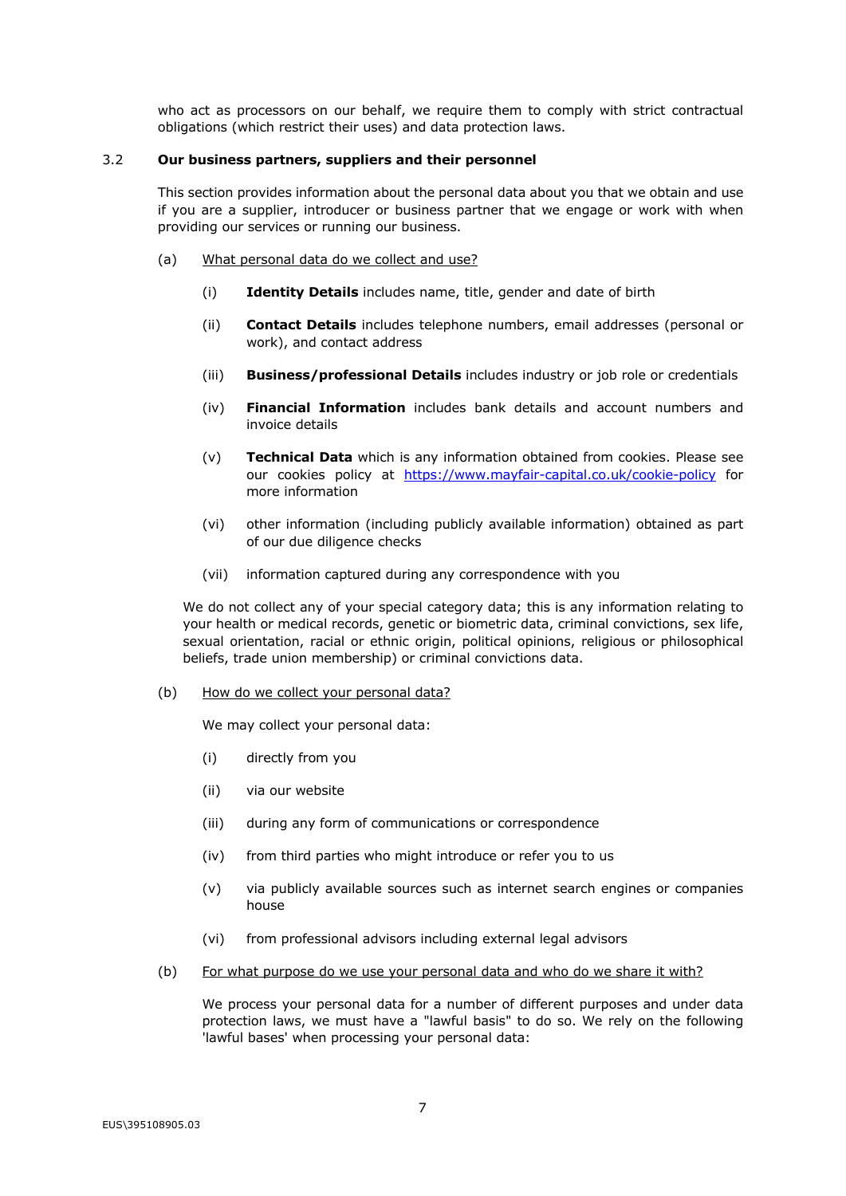who act as processors on our behalf, we require them to comply with strict contractual obligations (which restrict their uses) and data protection laws.

### 3.2 **Our business partners, suppliers and their personnel**

This section provides information about the personal data about you that we obtain and use if you are a supplier, introducer or business partner that we engage or work with when providing our services or running our business.

- (a) What personal data do we collect and use?
	- (i) **Identity Details** includes name, title, gender and date of birth
	- (ii) **Contact Details** includes telephone numbers, email addresses (personal or work), and contact address
	- (iii) **Business/professional Details** includes industry or job role or credentials
	- (iv) **Financial Information** includes bank details and account numbers and invoice details
	- (v) **Technical Data** which is any information obtained from cookies. Please see our cookies policy at https://www.mayfair-capital.co.uk/cookie-policy for more information
	- (vi) other information (including publicly available information) obtained as part of our due diligence checks
	- (vii) information captured during any correspondence with you

We do not collect any of your special category data; this is any information relating to your health or medical records, genetic or biometric data, criminal convictions, sex life, sexual orientation, racial or ethnic origin, political opinions, religious or philosophical beliefs, trade union membership) or criminal convictions data.

(b) How do we collect your personal data?

We may collect your personal data:

- (i) directly from you
- (ii) via our website
- (iii) during any form of communications or correspondence
- (iv) from third parties who might introduce or refer you to us
- (v) via publicly available sources such as internet search engines or companies house
- (vi) from professional advisors including external legal advisors
- (b) For what purpose do we use your personal data and who do we share it with?

We process your personal data for a number of different purposes and under data protection laws, we must have a "lawful basis" to do so. We rely on the following 'lawful bases' when processing your personal data: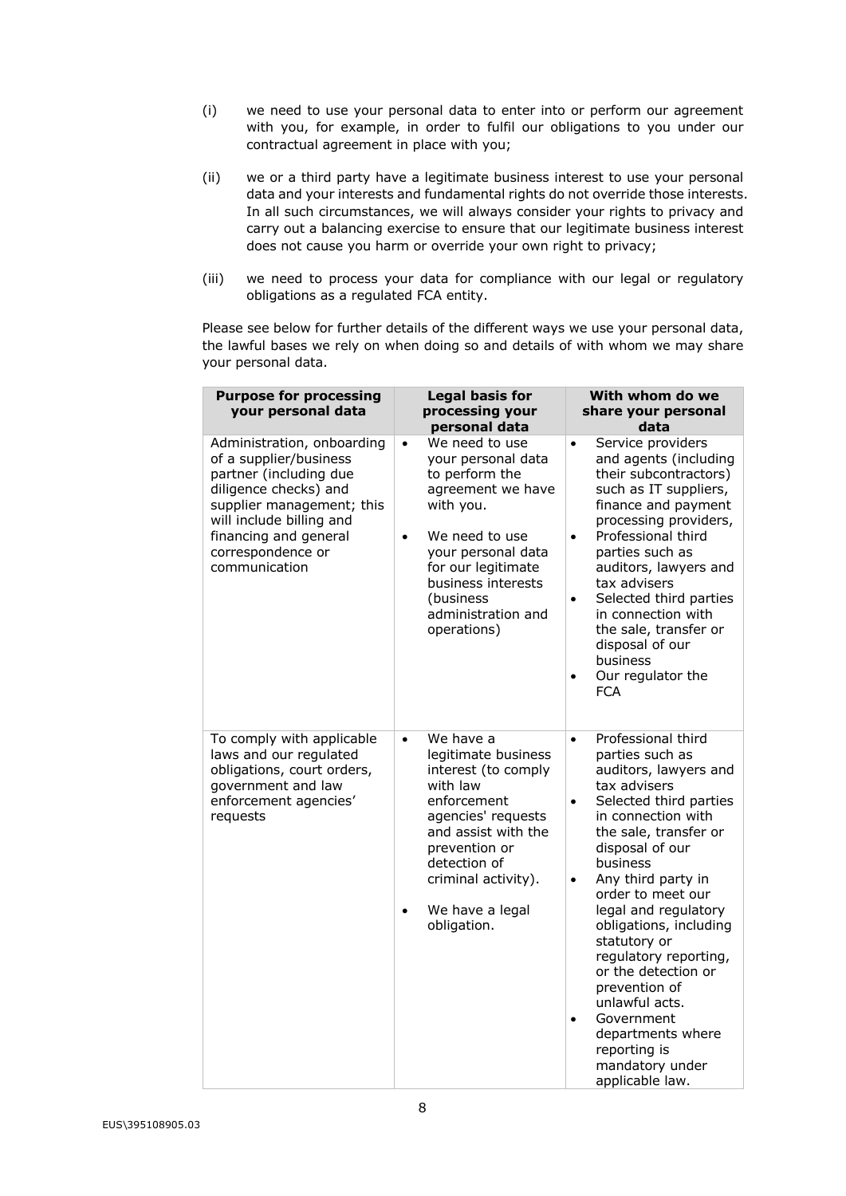- (i) we need to use your personal data to enter into or perform our agreement with you, for example, in order to fulfil our obligations to you under our contractual agreement in place with you;
- (ii) we or a third party have a legitimate business interest to use your personal data and your interests and fundamental rights do not override those interests. In all such circumstances, we will always consider your rights to privacy and carry out a balancing exercise to ensure that our legitimate business interest does not cause you harm or override your own right to privacy;
- (iii) we need to process your data for compliance with our legal or regulatory obligations as a regulated FCA entity.

Please see below for further details of the different ways we use your personal data, the lawful bases we rely on when doing so and details of with whom we may share your personal data.

| <b>Purpose for processing</b><br>your personal data                                                                                                                                                                             | <b>Legal basis for</b><br>processing your<br>personal data                                                                                                                                                                                                | With whom do we<br>share your personal<br>data                                                                                                                                                                                                                                                                                                                                                                                                                                                                                      |
|---------------------------------------------------------------------------------------------------------------------------------------------------------------------------------------------------------------------------------|-----------------------------------------------------------------------------------------------------------------------------------------------------------------------------------------------------------------------------------------------------------|-------------------------------------------------------------------------------------------------------------------------------------------------------------------------------------------------------------------------------------------------------------------------------------------------------------------------------------------------------------------------------------------------------------------------------------------------------------------------------------------------------------------------------------|
| Administration, onboarding<br>of a supplier/business<br>partner (including due<br>diligence checks) and<br>supplier management; this<br>will include billing and<br>financing and general<br>correspondence or<br>communication | We need to use<br>$\bullet$<br>your personal data<br>to perform the<br>agreement we have<br>with you.<br>We need to use<br>$\bullet$<br>your personal data<br>for our legitimate<br>business interests<br>(business)<br>administration and<br>operations) | Service providers<br>$\bullet$<br>and agents (including<br>their subcontractors)<br>such as IT suppliers,<br>finance and payment<br>processing providers,<br>Professional third<br>$\bullet$<br>parties such as<br>auditors, lawyers and<br>tax advisers<br>Selected third parties<br>$\bullet$<br>in connection with<br>the sale, transfer or<br>disposal of our<br>business<br>Our regulator the<br>$\bullet$<br><b>FCA</b>                                                                                                       |
| To comply with applicable<br>laws and our regulated<br>obligations, court orders,<br>government and law<br>enforcement agencies'<br>requests                                                                                    | We have a<br>$\bullet$<br>legitimate business<br>interest (to comply<br>with law<br>enforcement<br>agencies' requests<br>and assist with the<br>prevention or<br>detection of<br>criminal activity).<br>We have a legal<br>$\bullet$<br>obligation.       | Professional third<br>$\bullet$<br>parties such as<br>auditors, lawyers and<br>tax advisers<br>Selected third parties<br>$\bullet$<br>in connection with<br>the sale, transfer or<br>disposal of our<br>business<br>Any third party in<br>$\bullet$<br>order to meet our<br>legal and regulatory<br>obligations, including<br>statutory or<br>regulatory reporting,<br>or the detection or<br>prevention of<br>unlawful acts.<br>Government<br>$\bullet$<br>departments where<br>reporting is<br>mandatory under<br>applicable law. |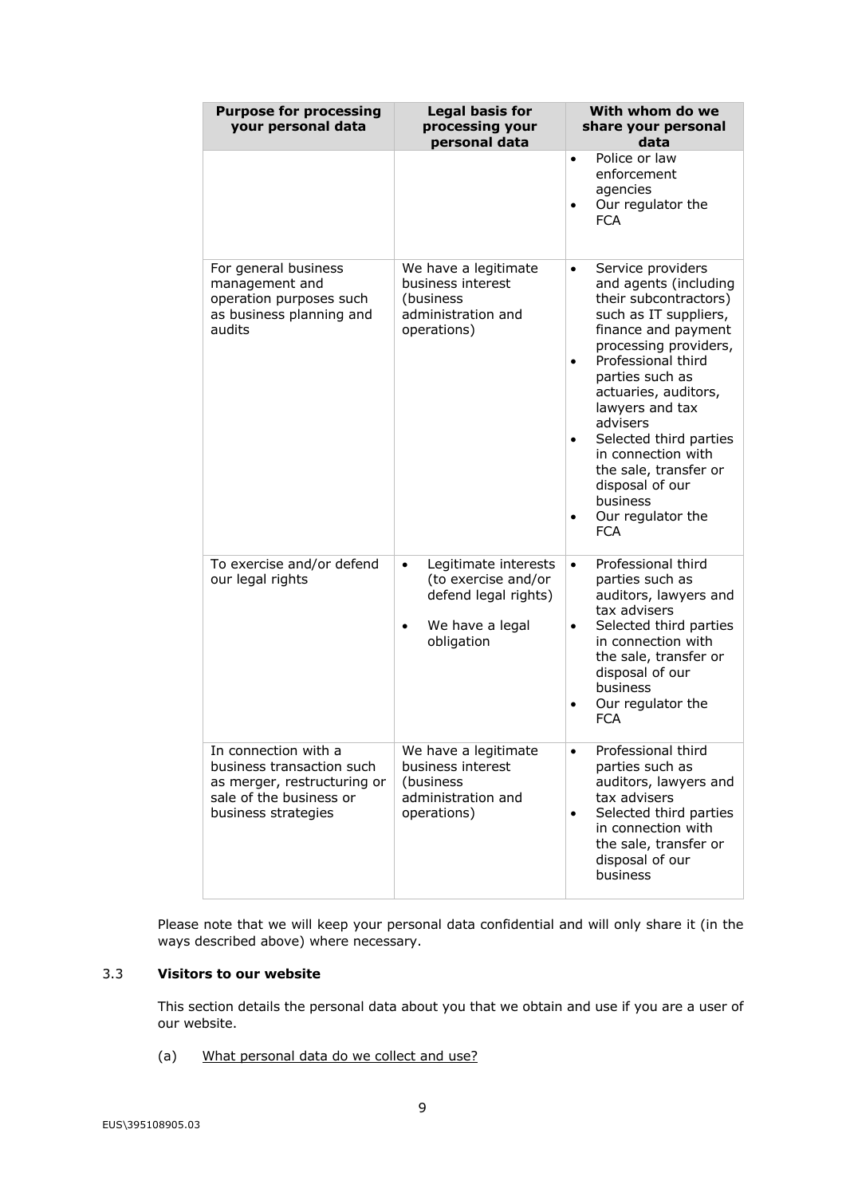| <b>Purpose for processing</b><br>your personal data                                                                                | <b>Legal basis for</b><br>processing your<br>personal data                                                        | With whom do we<br>share your personal<br>data                                                                                                                                                                                                                                                                                                                                                                    |
|------------------------------------------------------------------------------------------------------------------------------------|-------------------------------------------------------------------------------------------------------------------|-------------------------------------------------------------------------------------------------------------------------------------------------------------------------------------------------------------------------------------------------------------------------------------------------------------------------------------------------------------------------------------------------------------------|
|                                                                                                                                    |                                                                                                                   | Police or law<br>$\bullet$<br>enforcement<br>agencies<br>Our regulator the<br>$\bullet$<br><b>FCA</b>                                                                                                                                                                                                                                                                                                             |
| For general business<br>management and<br>operation purposes such<br>as business planning and<br>audits                            | We have a legitimate<br>business interest<br>(business<br>administration and<br>operations)                       | Service providers<br>$\bullet$<br>and agents (including<br>their subcontractors)<br>such as IT suppliers,<br>finance and payment<br>processing providers,<br>Professional third<br>$\bullet$<br>parties such as<br>actuaries, auditors,<br>lawyers and tax<br>advisers<br>Selected third parties<br>in connection with<br>the sale, transfer or<br>disposal of our<br>business<br>Our regulator the<br><b>FCA</b> |
| To exercise and/or defend<br>our legal rights                                                                                      | Legitimate interests<br>$\bullet$<br>(to exercise and/or<br>defend legal rights)<br>We have a legal<br>obligation | Professional third<br>$\bullet$<br>parties such as<br>auditors, lawyers and<br>tax advisers<br>Selected third parties<br>in connection with<br>the sale, transfer or<br>disposal of our<br>business<br>Our regulator the<br><b>FCA</b>                                                                                                                                                                            |
| In connection with a<br>business transaction such<br>as merger, restructuring or<br>sale of the business or<br>business strategies | We have a legitimate<br>business interest<br>(business)<br>administration and<br>operations)                      | Professional third<br>$\bullet$<br>parties such as<br>auditors, lawyers and<br>tax advisers<br>Selected third parties<br>in connection with<br>the sale, transfer or<br>disposal of our<br>business                                                                                                                                                                                                               |

Please note that we will keep your personal data confidential and will only share it (in the ways described above) where necessary.

# 3.3 **Visitors to our website**

This section details the personal data about you that we obtain and use if you are a user of our website.

(a) What personal data do we collect and use?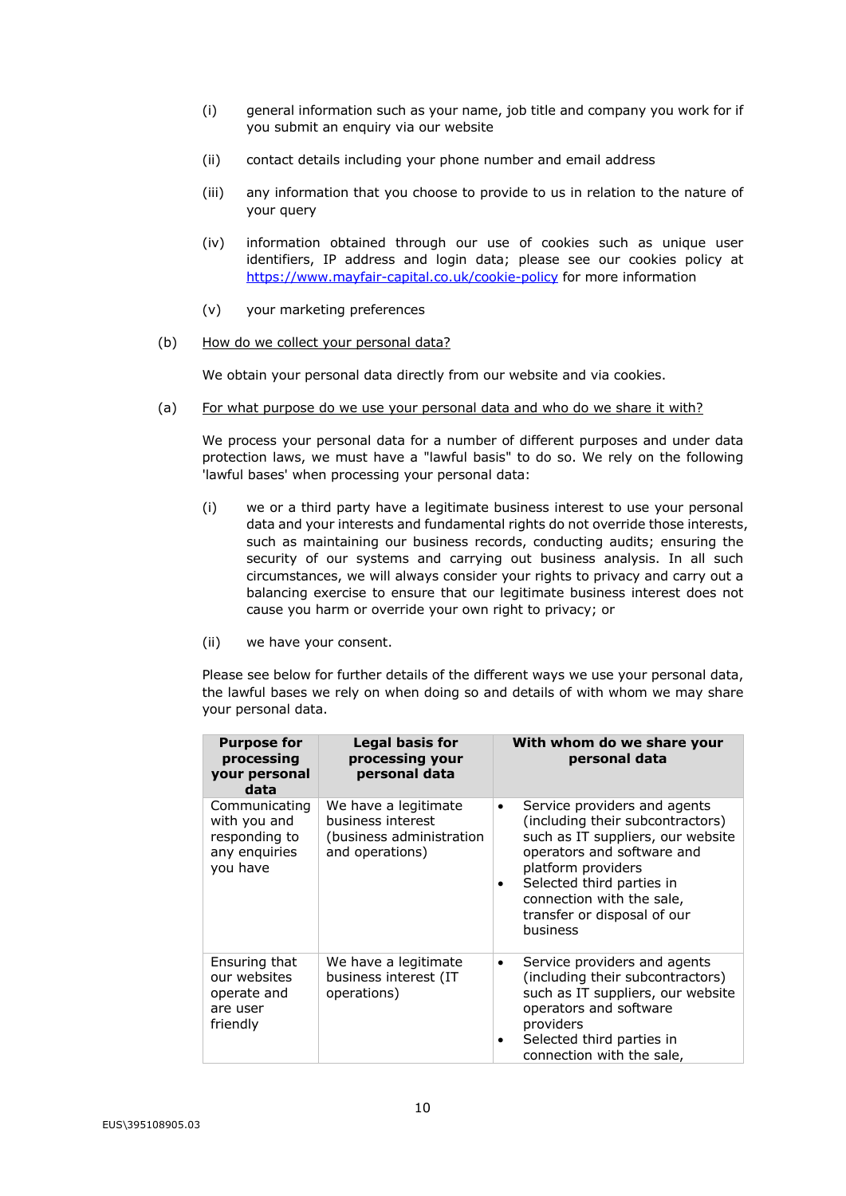- (i) general information such as your name, job title and company you work for if you submit an enquiry via our website
- (ii) contact details including your phone number and email address
- (iii) any information that you choose to provide to us in relation to the nature of your query
- (iv) information obtained through our use of cookies such as unique user identifiers, IP address and login data; please see our cookies policy at https://www.mayfair-capital.co.uk/cookie-policy for more information
- (v) your marketing preferences
- (b) How do we collect your personal data?

We obtain your personal data directly from our website and via cookies.

(a) For what purpose do we use your personal data and who do we share it with?

We process your personal data for a number of different purposes and under data protection laws, we must have a "lawful basis" to do so. We rely on the following 'lawful bases' when processing your personal data:

- (i) we or a third party have a legitimate business interest to use your personal data and your interests and fundamental rights do not override those interests, such as maintaining our business records, conducting audits; ensuring the security of our systems and carrying out business analysis. In all such circumstances, we will always consider your rights to privacy and carry out a balancing exercise to ensure that our legitimate business interest does not cause you harm or override your own right to privacy; or
- (ii) we have your consent.

Please see below for further details of the different ways we use your personal data, the lawful bases we rely on when doing so and details of with whom we may share your personal data.

| <b>Purpose for</b><br>processing<br>your personal<br>data                   | <b>Legal basis for</b><br>processing your<br>personal data                               | With whom do we share your<br>personal data                                                                                                                                                                                                                              |
|-----------------------------------------------------------------------------|------------------------------------------------------------------------------------------|--------------------------------------------------------------------------------------------------------------------------------------------------------------------------------------------------------------------------------------------------------------------------|
| Communicating<br>with you and<br>responding to<br>any enquiries<br>you have | We have a legitimate<br>business interest<br>(business administration<br>and operations) | Service providers and agents<br>٠<br>(including their subcontractors)<br>such as IT suppliers, our website<br>operators and software and<br>platform providers<br>Selected third parties in<br>٠<br>connection with the sale,<br>transfer or disposal of our<br>business |
| Ensuring that<br>our websites<br>operate and<br>are user<br>friendly        | We have a legitimate<br>business interest (IT<br>operations)                             | Service providers and agents<br>$\bullet$<br>(including their subcontractors)<br>such as IT suppliers, our website<br>operators and software<br>providers<br>Selected third parties in<br>٠<br>connection with the sale,                                                 |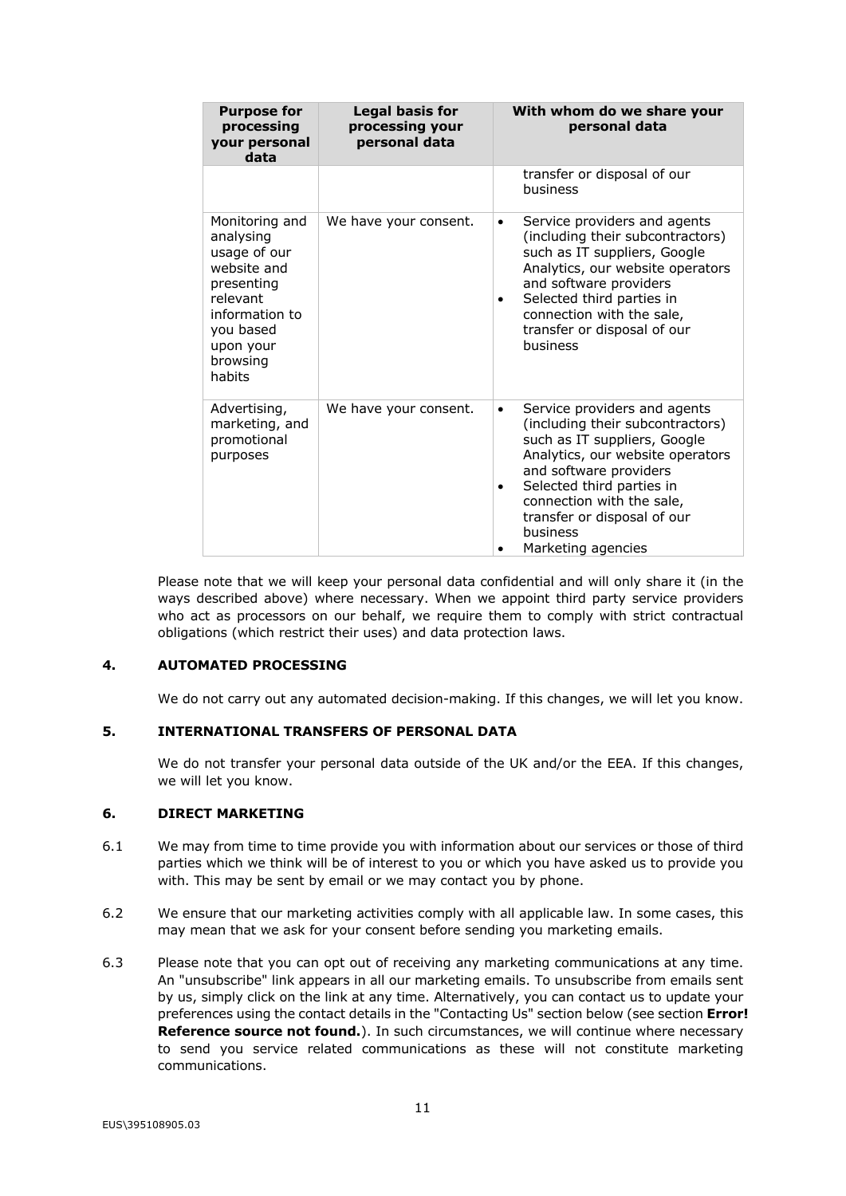| <b>Purpose for</b><br>processing<br>your personal<br>data                                                                                              | <b>Legal basis for</b><br>processing your<br>personal data | With whom do we share your<br>personal data                                                                                                                                                                                                                                                                 |
|--------------------------------------------------------------------------------------------------------------------------------------------------------|------------------------------------------------------------|-------------------------------------------------------------------------------------------------------------------------------------------------------------------------------------------------------------------------------------------------------------------------------------------------------------|
|                                                                                                                                                        |                                                            | transfer or disposal of our<br>business                                                                                                                                                                                                                                                                     |
| Monitoring and<br>analysing<br>usage of our<br>website and<br>presenting<br>relevant<br>information to<br>you based<br>upon your<br>browsing<br>habits | We have your consent.                                      | Service providers and agents<br>٠<br>(including their subcontractors)<br>such as IT suppliers, Google<br>Analytics, our website operators<br>and software providers<br>Selected third parties in<br>$\bullet$<br>connection with the sale,<br>transfer or disposal of our<br><b>business</b>                |
| Advertising,<br>marketing, and<br>promotional<br>purposes                                                                                              | We have your consent.                                      | Service providers and agents<br>$\bullet$<br>(including their subcontractors)<br>such as IT suppliers, Google<br>Analytics, our website operators<br>and software providers<br>Selected third parties in<br>٠<br>connection with the sale,<br>transfer or disposal of our<br>business<br>Marketing agencies |

Please note that we will keep your personal data confidential and will only share it (in the ways described above) where necessary. When we appoint third party service providers who act as processors on our behalf, we require them to comply with strict contractual obligations (which restrict their uses) and data protection laws.

### **4. AUTOMATED PROCESSING**

We do not carry out any automated decision-making. If this changes, we will let you know.

## **5. INTERNATIONAL TRANSFERS OF PERSONAL DATA**

We do not transfer your personal data outside of the UK and/or the EEA. If this changes, we will let you know.

### **6. DIRECT MARKETING**

- 6.1 We may from time to time provide you with information about our services or those of third parties which we think will be of interest to you or which you have asked us to provide you with. This may be sent by email or we may contact you by phone.
- 6.2 We ensure that our marketing activities comply with all applicable law. In some cases, this may mean that we ask for your consent before sending you marketing emails.
- 6.3 Please note that you can opt out of receiving any marketing communications at any time. An "unsubscribe" link appears in all our marketing emails. To unsubscribe from emails sent by us, simply click on the link at any time. Alternatively, you can contact us to update your preferences using the contact details in the "Contacting Us" section below (see section **Error! Reference source not found.**). In such circumstances, we will continue where necessary to send you service related communications as these will not constitute marketing communications.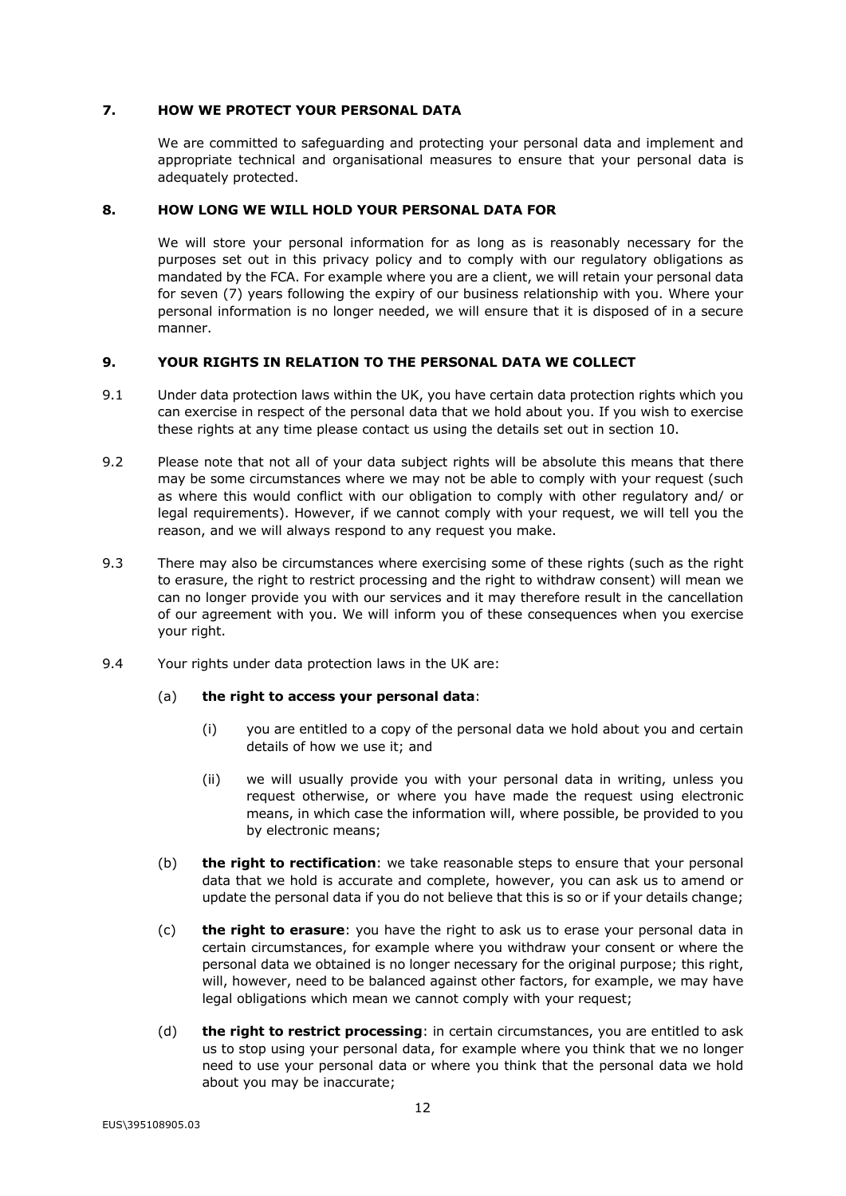### **7. HOW WE PROTECT YOUR PERSONAL DATA**

We are committed to safeguarding and protecting your personal data and implement and appropriate technical and organisational measures to ensure that your personal data is adequately protected.

### **8. HOW LONG WE WILL HOLD YOUR PERSONAL DATA FOR**

We will store your personal information for as long as is reasonably necessary for the purposes set out in this privacy policy and to comply with our regulatory obligations as mandated by the FCA. For example where you are a client, we will retain your personal data for seven (7) years following the expiry of our business relationship with you. Where your personal information is no longer needed, we will ensure that it is disposed of in a secure manner.

#### **9. YOUR RIGHTS IN RELATION TO THE PERSONAL DATA WE COLLECT**

- 9.1 Under data protection laws within the UK, you have certain data protection rights which you can exercise in respect of the personal data that we hold about you. If you wish to exercise these rights at any time please contact us using the details set out in section 10.
- 9.2 Please note that not all of your data subject rights will be absolute this means that there may be some circumstances where we may not be able to comply with your request (such as where this would conflict with our obligation to comply with other regulatory and/ or legal requirements). However, if we cannot comply with your request, we will tell you the reason, and we will always respond to any request you make.
- 9.3 There may also be circumstances where exercising some of these rights (such as the right to erasure, the right to restrict processing and the right to withdraw consent) will mean we can no longer provide you with our services and it may therefore result in the cancellation of our agreement with you. We will inform you of these consequences when you exercise your right.
- 9.4 Your rights under data protection laws in the UK are:

### (a) **the right to access your personal data**:

- (i) you are entitled to a copy of the personal data we hold about you and certain details of how we use it; and
- (ii) we will usually provide you with your personal data in writing, unless you request otherwise, or where you have made the request using electronic means, in which case the information will, where possible, be provided to you by electronic means;
- (b) **the right to rectification**: we take reasonable steps to ensure that your personal data that we hold is accurate and complete, however, you can ask us to amend or update the personal data if you do not believe that this is so or if your details change;
- (c) **the right to erasure**: you have the right to ask us to erase your personal data in certain circumstances, for example where you withdraw your consent or where the personal data we obtained is no longer necessary for the original purpose; this right, will, however, need to be balanced against other factors, for example, we may have legal obligations which mean we cannot comply with your request;
- (d) **the right to restrict processing**: in certain circumstances, you are entitled to ask us to stop using your personal data, for example where you think that we no longer need to use your personal data or where you think that the personal data we hold about you may be inaccurate;